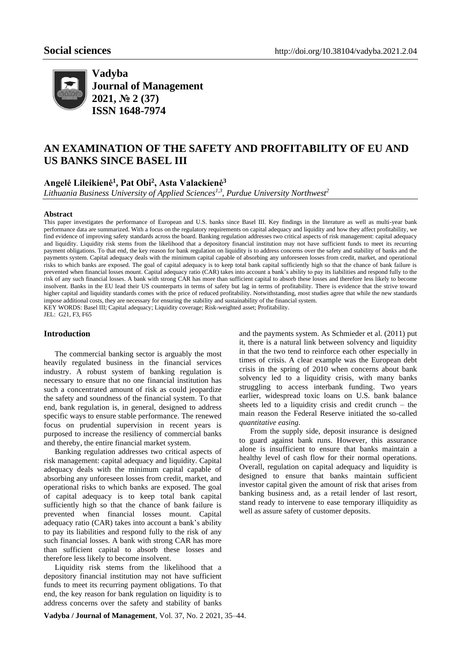

**Vadyba Journal of Management 2021, № 2 (37) ISSN 1648-7974**

# **AN EXAMINATION OF THE SAFETY AND PROFITABILITY OF EU AND US BANKS SINCE BASEL III**

**Angelė Lileikienė<sup>1</sup> , Pat Obi<sup>2</sup> , Asta Valackienė<sup>3</sup>**

*Lithuania Business University of Applied Sciences1,3, Purdue University Northwest<sup>2</sup>*

#### **Abstract**

This paper investigates the performance of European and U.S. banks since Basel III. Key findings in the literature as well as multi-year bank performance data are summarized. With a focus on the regulatory requirements on capital adequacy and liquidity and how they affect profitability, we find evidence of improving safety standards across the board. Banking regulation addresses two critical aspects of risk management: capital adequacy and liquidity. Liquidity risk stems from the likelihood that a depository financial institution may not have sufficient funds to meet its recurring payment obligations. To that end, the key reason for bank regulation on liquidity is to address concerns over the safety and stability of banks and the payments system. Capital adequacy deals with the minimum capital capable of absorbing any unforeseen losses from credit, market, and operational risks to which banks are exposed. The goal of capital adequacy is to keep total bank capital sufficiently high so that the chance of bank failure is prevented when financial losses mount. Capital adequacy ratio (CAR) takes into account a bank's ability to pay its liabilities and respond fully to the risk of any such financial losses. A bank with strong CAR has more than sufficient capital to absorb these losses and therefore less likely to become insolvent. Banks in the EU lead their US counterparts in terms of safety but lag in terms of profitability. There is evidence that the strive toward higher capital and liquidity standards comes with the price of reduced profitability. Notwithstanding, most studies agree that while the new standards impose additional costs, they are necessary for ensuring the stability and sustainability of the financial system. KEY WORDS: Basel III; Capital adequacy; Liquidity coverage; Risk-weighted asset; Profitability. JEL: G21, F3, F65

#### **Introduction**

The commercial banking sector is arguably the most heavily regulated business in the financial services industry. A robust system of banking regulation is necessary to ensure that no one financial institution has such a concentrated amount of risk as could jeopardize the safety and soundness of the financial system. To that end, bank regulation is, in general, designed to address specific ways to ensure stable performance. The renewed focus on prudential supervision in recent years is purposed to increase the resiliency of commercial banks and thereby, the entire financial market system.

Banking regulation addresses two critical aspects of risk management: capital adequacy and liquidity. Capital adequacy deals with the minimum capital capable of absorbing any unforeseen losses from credit, market, and operational risks to which banks are exposed. The goal of capital adequacy is to keep total bank capital sufficiently high so that the chance of bank failure is prevented when financial losses mount. Capital adequacy ratio (CAR) takes into account a bank's ability to pay its liabilities and respond fully to the risk of any such financial losses. A bank with strong CAR has more than sufficient capital to absorb these losses and therefore less likely to become insolvent.

Liquidity risk stems from the likelihood that a depository financial institution may not have sufficient funds to meet its recurring payment obligations. To that end, the key reason for bank regulation on liquidity is to address concerns over the safety and stability of banks

and the payments system. As Schmieder et al. (2011) put it, there is a natural link between solvency and liquidity in that the two tend to reinforce each other especially in times of crisis. A clear example was the European debt crisis in the spring of 2010 when concerns about bank solvency led to a liquidity crisis, with many banks struggling to access interbank funding. Two years earlier, widespread toxic loans on U.S. bank balance sheets led to a liquidity crisis and credit crunch – the main reason the Federal Reserve initiated the so-called *quantitative easing*.

From the supply side, deposit insurance is designed to guard against bank runs. However, this assurance alone is insufficient to ensure that banks maintain a healthy level of cash flow for their normal operations. Overall, regulation on capital adequacy and liquidity is designed to ensure that banks maintain sufficient investor capital given the amount of risk that arises from banking business and, as a retail lender of last resort, stand ready to intervene to ease temporary illiquidity as well as assure safety of customer deposits.

**Vadyba / Journal of Management**, Vol. 37, No. 2 2021, 35–44.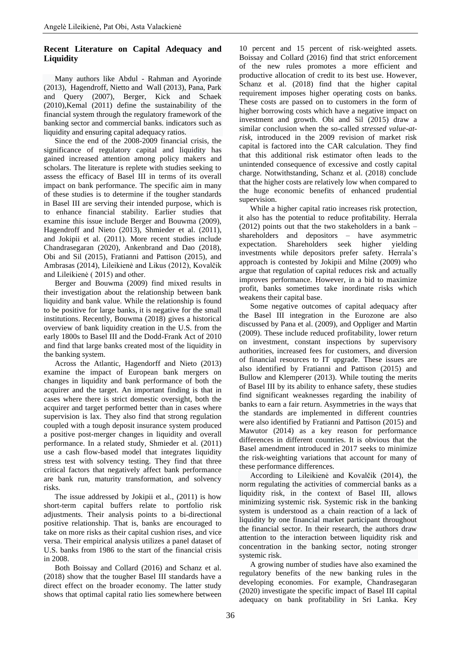# **Recent Literature on Capital Adequacy and Liquidity**

Many authors like Abdul - Rahman and Ayorinde (2013), Hagendroff, Nietto and Wall (2013), Pana, Park and Query (2007), Berger, Kick and Schaek (2010),Kemal (2011) define the sustainability of the financial system through the regulatory framework of the banking sector and commercial banks. indicators such as liquidity and ensuring capital adequacy ratios.

Since the end of the 2008-2009 financial crisis, the significance of regulatory capital and liquidity has gained increased attention among policy makers and scholars. The literature is replete with studies seeking to assess the efficacy of Basel III in terms of its overall impact on bank performance. The specific aim in many of these studies is to determine if the tougher standards in Basel III are serving their intended purpose, which is to enhance financial stability. Earlier studies that examine this issue include Berger and Bouwma (2009), Hagendroff and Nieto (2013), Shmieder et al. (2011), and Jokipii et al. (2011). More recent studies include Chandrasegaran (2020), Ankenbrand and Dao (2018), Obi and Sil (2015), Fratianni and Pattison (2015), and Ambrasas (2014), Lileikienė and Likus (2012), Kovalčik and Lileikienė ( 2015) and other.

Berger and Bouwma (2009) find mixed results in their investigation about the relationship between bank liquidity and bank value. While the relationship is found to be positive for large banks, it is negative for the small institutions. Recently, Bouwma (2018) gives a historical overview of bank liquidity creation in the U.S. from the early 1800s to Basel III and the Dodd-Frank Act of 2010 and find that large banks created most of the liquidity in the banking system.

Across the Atlantic, Hagendorff and Nieto (2013) examine the impact of European bank mergers on changes in liquidity and bank performance of both the acquirer and the target. An important finding is that in cases where there is strict domestic oversight, both the acquirer and target performed better than in cases where supervision is lax. They also find that strong regulation coupled with a tough deposit insurance system produced a positive post-merger changes in liquidity and overall performance. In a related study, Shmieder et al. (2011) use a cash flow-based model that integrates liquidity stress test with solvency testing. They find that three critical factors that negatively affect bank performance are bank run, maturity transformation, and solvency risks.

The issue addressed by Jokipii et al., (2011) is how short-term capital buffers relate to portfolio risk adjustments. Their analysis points to a bi-directional positive relationship. That is, banks are encouraged to take on more risks as their capital cushion rises, and vice versa. Their empirical analysis utilizes a panel dataset of U.S. banks from 1986 to the start of the financial crisis in 2008.

Both Boissay and Collard (2016) and Schanz et al. (2018) show that the tougher Basel III standards have a direct effect on the broader economy. The latter study shows that optimal capital ratio lies somewhere between

10 percent and 15 percent of risk-weighted assets. Boissay and Collard (2016) find that strict enforcement of the new rules promotes a more efficient and productive allocation of credit to its best use. However, Schanz et al. (2018) find that the higher capital requirement imposes higher operating costs on banks. These costs are passed on to customers in the form of higher borrowing costs which have a negative impact on investment and growth. Obi and Sil (2015) draw a similar conclusion when the so-called *stressed value-atrisk*, introduced in the 2009 revision of market risk capital is factored into the CAR calculation. They find that this additional risk estimator often leads to the unintended consequence of excessive and costly capital charge. Notwithstanding, Schanz et al. (2018) conclude that the higher costs are relatively low when compared to the huge economic benefits of enhanced prudential supervision.

While a higher capital ratio increases risk protection, it also has the potential to reduce profitability. Herrala (2012) points out that the two stakeholders in a bank – shareholders and depositors – have asymmetric expectation. Shareholders seek higher yielding investments while depositors prefer safety. Herrala's approach is contested by Jokipii and Milne (2009) who argue that regulation of capital reduces risk and actually improves performance. However, in a bid to maximize profit, banks sometimes take inordinate risks which weakens their capital base.

Some negative outcomes of capital adequacy after the Basel III integration in the Eurozone are also discussed by Pana et al. (2009), and Oppliger and Martin (2009). These include reduced profitability, lower return on investment, constant inspections by supervisory authorities, increased fees for customers, and diversion of financial resources to IT upgrade. These issues are also identified by Fratianni and Pattison (2015) and Bullow and Klemperer (2013). While touting the merits of Basel III by its ability to enhance safety, these studies find significant weaknesses regarding the inability of banks to earn a fair return. Asymmetries in the ways that the standards are implemented in different countries were also identified by Fratianni and Pattison (2015) and Mawutor (2014) as a key reason for performance differences in different countries. It is obvious that the Basel amendment introduced in 2017 seeks to minimize the risk-weighting variations that account for many of these performance differences.

According to Lileikienė and Kovalčik (2014), the norm regulating the activities of commercial banks as a liquidity risk, in the context of Basel III, allows minimizing systemic risk. Systemic risk in the banking system is understood as a chain reaction of a lack of liquidity by one financial market participant throughout the financial sector. In their research, the authors draw attention to the interaction between liquidity risk and concentration in the banking sector, noting stronger systemic risk.

A growing number of studies have also examined the regulatory benefits of the new banking rules in the developing economies. For example, Chandrasegaran (2020) investigate the specific impact of Basel III capital adequacy on bank profitability in Sri Lanka. Key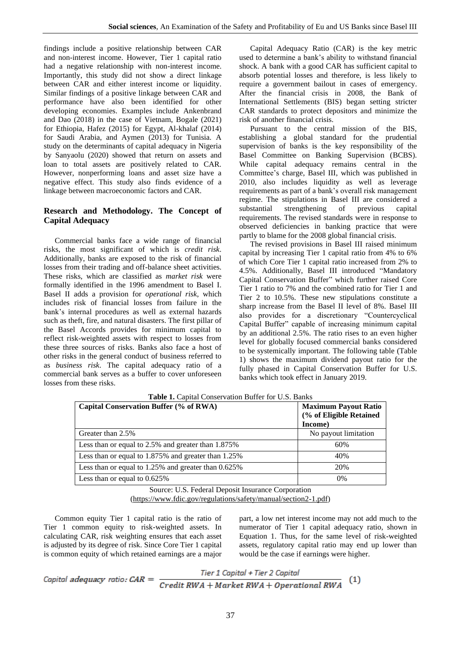findings include a positive relationship between CAR and non-interest income. However, Tier 1 capital ratio had a negative relationship with non-interest income. Importantly, this study did not show a direct linkage between CAR and either interest income or liquidity. Similar findings of a positive linkage between CAR and performance have also been identified for other developing economies. Examples include Ankenbrand and Dao (2018) in the case of Vietnam, Bogale (2021) for Ethiopia, Hafez (2015) for Egypt, Al-khalaf (2014) for Saudi Arabia, and Aymen (2013) for Tunisia. A study on the determinants of capital adequacy in Nigeria by Sanyaolu (2020) showed that return on assets and loan to total assets are positively related to CAR. However, nonperforming loans and asset size have a negative effect. This study also finds evidence of a linkage between macroeconomic factors and CAR.

# **Research and Methodology. The Concept of Capital Adequacy**

Commercial banks face a wide range of financial risks, the most significant of which is *credit risk*. Additionally, banks are exposed to the risk of financial losses from their trading and off-balance sheet activities. These risks, which are classified as *market risk* were formally identified in the 1996 amendment to Basel I. Basel II adds a provision for *operational risk*, which includes risk of financial losses from failure in the bank's internal procedures as well as external hazards such as theft, fire, and natural disasters. The first pillar of the Basel Accords provides for minimum capital to reflect risk-weighted assets with respect to losses from these three sources of risks. Banks also face a host of other risks in the general conduct of business referred to as *business risk*. The capital adequacy ratio of a commercial bank serves as a buffer to cover unforeseen losses from these risks.

Capital Adequacy Ratio (CAR) is the key metric used to determine a bank's ability to withstand financial shock. A bank with a good CAR has sufficient capital to absorb potential losses and therefore, is less likely to require a government bailout in cases of emergency. After the financial crisis in 2008, the Bank of International Settlements (BIS) began setting stricter CAR standards to protect depositors and minimize the risk of another financial crisis.

Pursuant to the central mission of the BIS, establishing a global standard for the prudential supervision of banks is the key responsibility of the Basel Committee on Banking Supervision (BCBS). While capital adequacy remains central in the Committee's charge, Basel III, which was published in 2010, also includes liquidity as well as leverage requirements as part of a bank's overall risk management regime. The stipulations in Basel III are considered a substantial strengthening of previous capital requirements. The revised standards were in response to observed deficiencies in banking practice that were partly to blame for the 2008 global financial crisis.

The revised provisions in Basel III raised minimum capital by increasing Tier 1 capital ratio from 4% to 6% of which Core Tier 1 capital ratio increased from 2% to 4.5%. Additionally, Basel III introduced "Mandatory Capital Conservation Buffer" which further raised Core Tier 1 ratio to 7% and the combined ratio for Tier 1 and Tier 2 to 10.5%. These new stipulations constitute a sharp increase from the Basel II level of 8%. Basel III also provides for a discretionary "Countercyclical Capital Buffer" capable of increasing minimum capital by an additional 2.5%. The ratio rises to an even higher level for globally focused commercial banks considered to be systemically important. The following table (Table 1) shows the maximum dividend payout ratio for the fully phased in Capital Conservation Buffer for U.S. banks which took effect in January 2019.

| Capital Conservation Buffer (% of RWA)              | <b>Maximum Payout Ratio</b><br>(% of Eligible Retained<br>Income) |
|-----------------------------------------------------|-------------------------------------------------------------------|
| Greater than 2.5%                                   | No payout limitation                                              |
| Less than or equal to 2.5% and greater than 1.875%  | 60%                                                               |
| Less than or equal to 1.875% and greater than 1.25% | 40%                                                               |
| Less than or equal to 1.25% and greater than 0.625% | 20%                                                               |
| Less than or equal to $0.625\%$                     | 0%                                                                |

Table 1. Capital Conservation Buffer for U.S. Banks

Source: U.S. Federal Deposit Insurance Corporation [\(https://www.fdic.gov/regulations/safety/manual/section2-1.pdf\)](https://www.fdic.gov/regulations/safety/manual/section2-1.pdf)

Common equity Tier 1 capital ratio is the ratio of Tier 1 common equity to risk-weighted assets. In calculating CAR, risk weighting ensures that each asset is adjusted by its degree of risk. Since Core Tier 1 capital is common equity of which retained earnings are a major part, a low net interest income may not add much to the numerator of Tier 1 capital adequacy ratio, shown in Equation 1. Thus, for the same level of risk-weighted assets, regulatory capital ratio may end up lower than would be the case if earnings were higher.

\n*Capital adequacy ratio: CAR =*\n
$$
\frac{\text{Tier 1 Capital} + \text{Tier 2 Capital}}{\text{Credit RWA} + \text{Market RWA} + \text{Operational RWA}} \quad (1)
$$
\n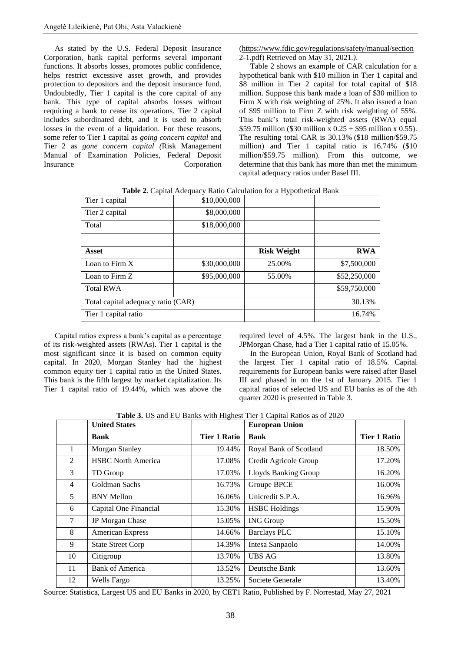As stated by the U.S. Federal Deposit Insurance Corporation, bank capital performs several important functions. It absorbs losses, promotes public confidence, helps restrict excessive asset growth, and provides protection to depositors and the deposit insurance fund. Undoubtedly, Tier 1 capital is the core capital of any bank. This type of capital absorbs losses without requiring a bank to cease its operations. Tier 2 capital includes subordinated debt, and it is used to absorb losses in the event of a liquidation. For these reasons, some refer to Tier 1 capital as *going concern capital* and Tier 2 as *gone concern capital (*Risk Management Manual of Examination Policies, Federal Deposit Insurance Corporation [\(https://www.fdic.gov/regulations/safety/manual/section](https://www.fdic.gov/regulations/safety/manual/section2-1.pdf) [2-1.pdf\)](https://www.fdic.gov/regulations/safety/manual/section2-1.pdf) Retrieved on May 31, 2021.*)*.

Table 2 shows an example of CAR calculation for a hypothetical bank with \$10 million in Tier 1 capital and \$8 million in Tier 2 capital for total capital of \$18 million. Suppose this bank made a loan of \$30 million to Firm X with risk weighting of 25%. It also issued a loan of \$95 million to Firm Z with risk weighting of 55%. This bank's total risk-weighted assets (RWA) equal \$59.75 million (\$30 million x 0.25 + \$95 million x 0.55). The resulting total CAR is 30.13% (\$18 million/\$59.75 million) and Tier 1 capital ratio is 16.74% (\$10 million/\$59.75 million). From this outcome, we determine that this bank has more than met the minimum capital adequacy ratios under Basel III.

|  | Table 2. Capital Adequacy Ratio Calculation for a Hypothetical Bank |  |
|--|---------------------------------------------------------------------|--|
|  |                                                                     |  |

| Tier 1 capital                     | \$10,000,000 |                    |              |
|------------------------------------|--------------|--------------------|--------------|
| Tier 2 capital                     | \$8,000,000  |                    |              |
| Total                              | \$18,000,000 |                    |              |
|                                    |              |                    |              |
| Asset                              |              | <b>Risk Weight</b> | <b>RWA</b>   |
| Loan to Firm $X$                   | \$30,000,000 | 25.00%             | \$7,500,000  |
| Loan to Firm Z                     | \$95,000,000 | 55.00%             | \$52,250,000 |
| <b>Total RWA</b>                   |              |                    | \$59,750,000 |
| Total capital adequacy ratio (CAR) |              |                    | 30.13%       |
| Tier 1 capital ratio               |              |                    | 16.74%       |

Capital ratios express a bank's capital as a percentage of its risk-weighted assets (RWAs). Tier 1 capital is the most significant since it is based on common equity capital. In 2020, Morgan Stanley had the highest common equity tier 1 capital ratio in the United States. This bank is the fifth largest by market capitalization. Its Tier 1 capital ratio of 19.44%, which was above the required level of 4.5%. The largest bank in the U.S., JPMorgan Chase, had a Tier 1 capital ratio of 15.05%.

In the European Union, Royal Bank of Scotland had the largest Tier 1 capital ratio of 18.5%. Capital requirements for European banks were raised after Basel III and phased in on the 1st of January 2015. Tier 1 capital ratios of selected US and EU banks as of the 4th quarter 2020 is presented in Table 3.

**Table 3.** US and EU Banks with Highest Tier 1 Capital Ratios as of 2020

|                | <b>United States</b>      |                     | <b>European Union</b>       |                     |
|----------------|---------------------------|---------------------|-----------------------------|---------------------|
|                | Bank                      | <b>Tier 1 Ratio</b> | <b>Bank</b>                 | <b>Tier 1 Ratio</b> |
| 1              | <b>Morgan Stanley</b>     | 19.44%              | Royal Bank of Scotland      | 18.50%              |
| $\overline{2}$ | <b>HSBC North America</b> | 17.08%              | Credit Agricole Group       | 17.20%              |
| 3              | TD Group                  | 17.03%              | <b>Lloyds Banking Group</b> | 16.20%              |
| $\overline{4}$ | Goldman Sachs             | 16.73%              | Groupe BPCE                 | 16.00%              |
| 5              | <b>BNY Mellon</b>         | 16.06%              | Unicredit S.P.A.            | 16.96%              |
| 6              | Capital One Financial     | 15.30%              | <b>HSBC</b> Holdings        | 15.90%              |
| $\overline{7}$ | JP Morgan Chase           | 15.05%              | <b>ING Group</b>            | 15.50%              |
| 8              | American Express          | 14.66%              | <b>Barclays PLC</b>         | 15.10%              |
| 9              | <b>State Street Corp</b>  | 14.39%              | Intesa Sanpaolo             | 14.00%              |
| 10             | Citigroup                 | 13.70%              | <b>UBS AG</b>               | 13.80%              |
| 11             | <b>Bank of America</b>    | 13.52%              | Deutsche Bank               | 13.60%              |
| 12             | Wells Fargo               | 13.25%              | Societe Generale            | 13.40%              |

Source: Statistica, Largest US and EU Banks in 2020, by CET1 Ratio, Published by F. Norrestad, May 27, 2021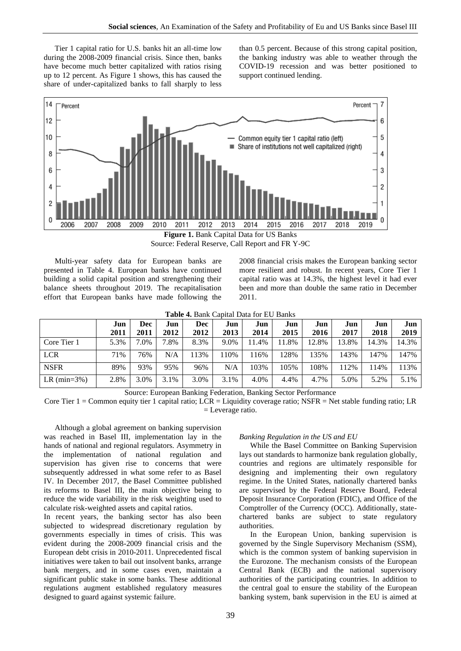Tier 1 capital ratio for U.S. banks hit an all-time low during the 2008-2009 financial crisis. Since then, banks have become much better capitalized with ratios rising up to 12 percent. As Figure 1 shows, this has caused the share of under-capitalized banks to fall sharply to less

than 0.5 percent. Because of this strong capital position, the banking industry was able to weather through the COVID-19 recession and was better positioned to support continued lending.



Multi-year safety data for European banks are presented in Table 4. European banks have continued building a solid capital position and strengthening their balance sheets throughout 2019. The recapitalisation effort that European banks have made following the 2008 financial crisis makes the European banking sector more resilient and robust. In recent years, Core Tier 1 capital ratio was at 14.3%, the highest level it had ever been and more than double the same ratio in December 2011.

|                | Jun  | Dec         | Jun  | Dec  | Jun  | Jun   | Jun   | Jun   | Jun   | Jun   | Jun   |
|----------------|------|-------------|------|------|------|-------|-------|-------|-------|-------|-------|
|                | 2011 | <b>2011</b> | 2012 | 2012 | 2013 | 2014  | 2015  | 2016  | 2017  | 2018  | 2019  |
| Core Tier 1    | 5.3% | 7.0%        | .8%  | 8.3% | 9.0% | 11.4% | 11.8% | 12.8% | 13.8% | 14.3% | 14.3% |
| <b>LCR</b>     | 71%  | 76%         | N/A  | 113% | 10%  | 16%   | 128%  | 135%  | 143%  | 147%  | 147%  |
| <b>NSFR</b>    | 89%  | 93%         | 95%  | 96%  | N/A  | 103%  | 105%  | 108%  | 112%  | 114%  | 113%  |
| LR $(min=3\%)$ | 2.8% | 3.0%        | 3.1% | 3.0% | 3.1% | 4.0%  | 4.4%  | 4.7%  | 5.0%  | 5.2%  | 5.1%  |

Source: European Banking Federation, Banking Sector Performance

Core Tier 1 = Common equity tier 1 capital ratio; LCR = Liquidity coverage ratio; NSFR = Net stable funding ratio; LR = Leverage ratio.

Although a global agreement on banking supervision was reached in Basel III, implementation lay in the hands of national and regional regulators. Asymmetry in the implementation of national regulation and supervision has given rise to concerns that were subsequently addressed in what some refer to as Basel IV. In December 2017, the Basel Committee published its reforms to Basel III, the main objective being to reduce the wide variability in the risk weighting used to calculate risk-weighted assets and capital ratios.

In recent years, the banking sector has also been subjected to widespread discretionary regulation by governments especially in times of crisis. This was evident during the 2008-2009 financial crisis and the European debt crisis in 2010-2011. Unprecedented fiscal initiatives were taken to bail out insolvent banks, arrange bank mergers, and in some cases even, maintain a significant public stake in some banks. These additional regulations augment established regulatory measures designed to guard against systemic failure.

#### *Banking Regulation in the US and EU*

While the Basel Committee on Banking Supervision lays out standards to harmonize bank regulation globally, countries and regions are ultimately responsible for designing and implementing their own regulatory regime. In the United States, nationally chartered banks are supervised by the Federal Reserve Board, Federal Deposit Insurance Corporation (FDIC), and Office of the Comptroller of the Currency (OCC). Additionally, statechartered banks are subject to state regulatory authorities.

In the European Union, banking supervision is governed by the Single Supervisory Mechanism (SSM), which is the common system of banking supervision in the Eurozone. The mechanism consists of the European Central Bank (ECB) and the national supervisory authorities of the participating countries. In addition to the central goal to ensure the stability of the European banking system, bank supervision in the EU is aimed at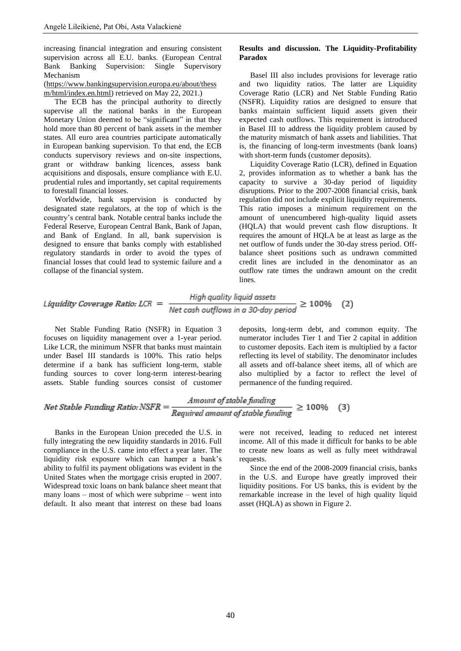increasing financial integration and ensuring consistent supervision across all E.U. banks. (European Central Bank Banking Supervision: Single Supervisory Mechanism

#### [\(https://www.bankingsupervision.europa.eu/about/thess](https://www.bankingsupervision.europa.eu/about/thessm/html/index.en.html) [m/html/index.en.html\)](https://www.bankingsupervision.europa.eu/about/thessm/html/index.en.html) retrieved on May 22, 2021.)

The ECB has the principal authority to directly supervise all the national banks in the European Monetary Union deemed to be "significant" in that they hold more than 80 percent of bank assets in the member states. All euro area countries participate automatically in European banking supervision. To that end, the ECB conducts supervisory reviews and on-site inspections, grant or withdraw banking licences, assess bank acquisitions and disposals, ensure compliance with E.U. prudential rules and importantly, set capital requirements to forestall financial losses.

Worldwide, bank supervision is conducted by designated state regulators, at the top of which is the country's central bank. Notable central banks include the Federal Reserve, European Central Bank, Bank of Japan, and Bank of England. In all, bank supervision is designed to ensure that banks comply with established regulatory standards in order to avoid the types of financial losses that could lead to systemic failure and a collapse of the financial system.

#### **Results and discussion. The Liquidity-Profitability Paradox**

Basel III also includes provisions for leverage ratio and two liquidity ratios. The latter are Liquidity Coverage Ratio (LCR) and Net Stable Funding Ratio (NSFR). Liquidity ratios are designed to ensure that banks maintain sufficient liquid assets given their expected cash outflows. This requirement is introduced in Basel III to address the liquidity problem caused by the maturity mismatch of bank assets and liabilities. That is, the financing of long-term investments (bank loans) with short-term funds (customer deposits).

Liquidity Coverage Ratio (LCR), defined in Equation 2, provides information as to whether a bank has the capacity to survive a 30-day period of liquidity disruptions. Prior to the 2007-2008 financial crisis, bank regulation did not include explicit liquidity requirements. This ratio imposes a minimum requirement on the amount of unencumbered high-quality liquid assets (HQLA) that would prevent cash flow disruptions. It requires the amount of HQLA be at least as large as the net outflow of funds under the 30-day stress period. Offbalance sheet positions such as undrawn committed credit lines are included in the denominator as an outflow rate times the undrawn amount on the credit lines.

*Liquidity Coverage Ratio: LCR* = 
$$
\frac{High quality liquid assets}{Net cash outflows in a 30-day period} \ge 100\% \quad (2)
$$

Net Stable Funding Ratio (NSFR) in Equation 3 focuses on liquidity management over a 1-year period. Like LCR, the minimum NSFR that banks must maintain under Basel III standards is 100%. This ratio helps determine if a bank has sufficient long-term, stable funding sources to cover long-term interest-bearing assets. Stable funding sources consist of customer deposits, long-term debt, and common equity. The numerator includes Tier 1 and Tier 2 capital in addition to customer deposits. Each item is multiplied by a factor reflecting its level of stability. The denominator includes all assets and off-balance sheet items, all of which are also multiplied by a factor to reflect the level of permanence of the funding required.

*Net Stable Funding Ratio: NSFR* = 
$$
\frac{Amount of stable funding}{Required amount of stable funding} \ge 100\% \quad (3)
$$

Banks in the European Union preceded the U.S. in fully integrating the new liquidity standards in 2016. Full compliance in the U.S. came into effect a year later. The liquidity risk exposure which can hamper a bank's ability to fulfil its payment obligations was evident in the United States when the mortgage crisis erupted in 2007. Widespread toxic loans on bank balance sheet meant that many loans – most of which were subprime – went into default. It also meant that interest on these bad loans

were not received, leading to reduced net interest income. All of this made it difficult for banks to be able to create new loans as well as fully meet withdrawal requests.

Since the end of the 2008-2009 financial crisis, banks in the U.S. and Europe have greatly improved their liquidity positions. For US banks, this is evident by the remarkable increase in the level of high quality liquid asset (HQLA) as shown in Figure 2.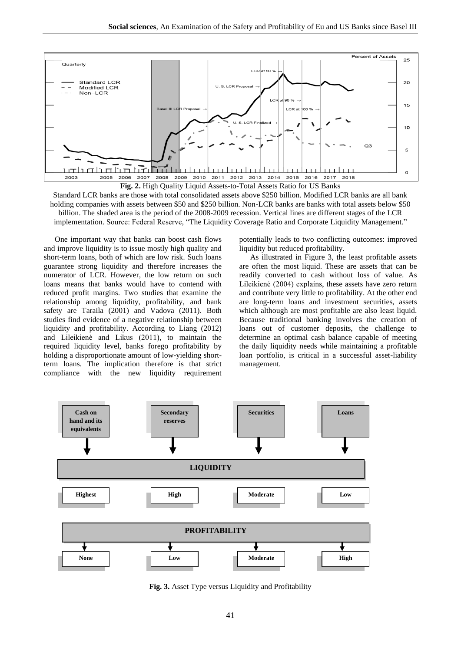

Standard LCR banks are those with total consolidated assets above \$250 billion. Modified LCR banks are all bank holding companies with assets between \$50 and \$250 billion. Non-LCR banks are banks with total assets below \$50 billion. The shaded area is the period of the 2008-2009 recession. Vertical lines are different stages of the LCR implementation. Source: Federal Reserve, "The Liquidity Coverage Ratio and Corporate Liquidity Management."

One important way that banks can boost cash flows and improve liquidity is to issue mostly high quality and short-term loans, both of which are low risk. Such loans guarantee strong liquidity and therefore increases the numerator of LCR. However, the low return on such loans means that banks would have to contend with reduced profit margins. Two studies that examine the relationship among liquidity, profitability, and bank safety are Taraila (2001) and Vadova (2011). Both studies find evidence of a negative relationship between liquidity and profitability. According to Liang (2012) and Lileikienė and Likus (2011), to maintain the required liquidity level, banks forego profitability by holding a disproportionate amount of low-yielding shortterm loans. The implication therefore is that strict compliance with the new liquidity requirement

potentially leads to two conflicting outcomes: improved liquidity but reduced profitability.

As illustrated in Figure 3, the least profitable assets are often the most liquid. These are assets that can be readily converted to cash without loss of value. As Lileikienė (2004) explains, these assets have zero return and contribute very little to profitability. At the other end are long-term loans and investment securities, assets which although are most profitable are also least liquid. Because traditional banking involves the creation of loans out of customer deposits, the challenge to determine an optimal cash balance capable of meeting the daily liquidity needs while maintaining a profitable loan portfolio, is critical in a successful asset-liability management.



**Fig. 3.** Asset Type versus Liquidity and Profitability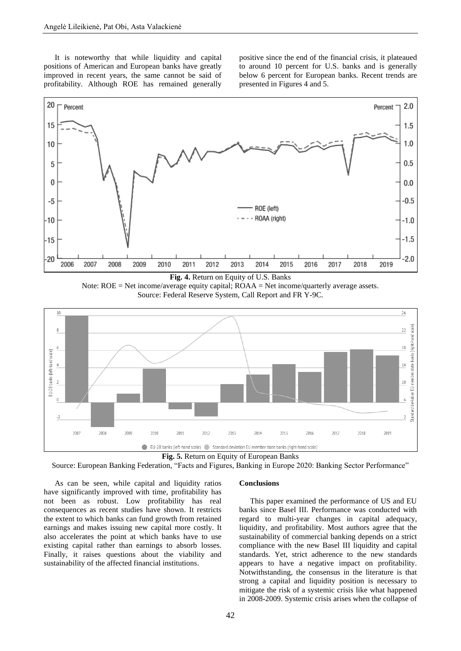It is noteworthy that while liquidity and capital positions of American and European banks have greatly improved in recent years, the same cannot be said of profitability. Although ROE has remained generally positive since the end of the financial crisis, it plateaued to around 10 percent for U.S. banks and is generally below 6 percent for European banks. Recent trends are presented in Figures 4 and 5.



Note: ROE = Net income/average equity capital; ROAA = Net income/quarterly average assets. Source: Federal Reserve System, Call Report and FR Y-9C.



**Fig. 5.** Return on Equity of European Banks

Source: European Banking Federation, "Facts and Figures, Banking in Europe 2020: Banking Sector Performance"

As can be seen, while capital and liquidity ratios have significantly improved with time, profitability has not been as robust. Low profitability has real consequences as recent studies have shown. It restricts the extent to which banks can fund growth from retained earnings and makes issuing new capital more costly. It also accelerates the point at which banks have to use existing capital rather than earnings to absorb losses. Finally, it raises questions about the viability and sustainability of the affected financial institutions.

#### **Conclusions**

This paper examined the performance of US and EU banks since Basel III. Performance was conducted with regard to multi-year changes in capital adequacy, liquidity, and profitability. Most authors agree that the sustainability of commercial banking depends on a strict compliance with the new Basel III liquidity and capital standards. Yet, strict adherence to the new standards appears to have a negative impact on profitability. Notwithstanding, the consensus in the literature is that strong a capital and liquidity position is necessary to mitigate the risk of a systemic crisis like what happened in 2008-2009. Systemic crisis arises when the collapse of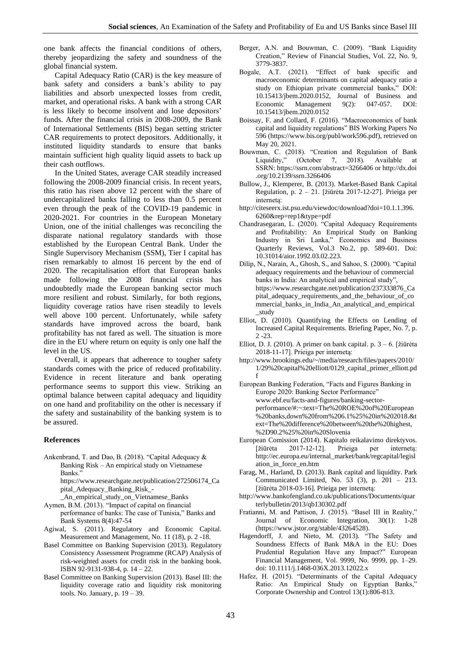one bank affects the financial conditions of others, thereby jeopardizing the safety and soundness of the global financial system.

Capital Adequacy Ratio (CAR) is the key measure of bank safety and considers a bank's ability to pay liabilities and absorb unexpected losses from credit, market, and operational risks. A bank with a strong CAR is less likely to become insolvent and lose depositors' funds. After the financial crisis in 2008-2009, the Bank of International Settlements (BIS) began setting stricter CAR requirements to protect depositors. Additionally, it instituted liquidity standards to ensure that banks maintain sufficient high quality liquid assets to back up their cash outflows.

In the United States, average CAR steadily increased following the 2008-2009 financial crisis. In recent years, this ratio has risen above 12 percent with the share of undercapitalized banks falling to less than 0.5 percent even through the peak of the COVID-19 pandemic in 2020-2021. For countries in the European Monetary Union, one of the initial challenges was reconciling the disparate national regulatory standards with those established by the European Central Bank. Under the Single Supervisory Mechanism (SSM), Tier I capital has risen remarkably to almost 16 percent by the end of 2020. The recapitalisation effort that European banks made following the 2008 financial crisis has undoubtedly made the European banking sector much more resilient and robust. Similarly, for both regions, liquidity coverage ratios have risen steadily to levels well above 100 percent. Unfortunately, while safety standards have improved across the board, bank profitability has not fared as well. The situation is more dire in the EU where return on equity is only one half the level in the US.

Overall, it appears that adherence to tougher safety standards comes with the price of reduced profitability. Evidence in recent literature and bank operating performance seems to support this view. Striking an optimal balance between capital adequacy and liquidity on one hand and profitability on the other is necessary if the safety and sustainability of the banking system is to be assured.

### **References**

Ankenbrand, T. and Dao, B. (2018). "Capital Adequacy & Banking Risk – An empirical study on Vietnamese Banks."

https://www.researchgate.net/publication/272506174\_Ca pital\_Adequacy\_Banking\_Risk\_-

- \_An\_empirical\_study\_on\_Vietnamese\_Banks
- Aymen, B.M. (2013). "Impact of capital on financial performance of banks: The case of Tunisia," Banks and Bank Systems 8(4):47-54
- Agiwal, S. (2011). Regulatory and Economic Capital. Measurement and Management, No. 11 (18), p. 2 -18.
- Basel Committee on Banking Supervision (2013). Regulatory Consistency Assessment Programme (RCAP) Analysis of risk-weighted assets for credit risk in the banking book. ISBN 92-9131-938-4, p. 14 – 22.
- Basel Committee on Banking Supervision (2013). Basel III: the liquidity coverage ratio and liquidity risk monitoring tools. No. January, p. 19 – 39.
- Berger, A.N. and Bouwman, C. (2009). "Bank Liquidity Creation," Review of Financial Studies, Vol. 22, No. 9, 3779-3837.
- Bogale, A.T. (2021). "Effect of bank specific and macroeconomic determinants on capital adequacy ratio a study on Ethiopian private commercial banks," DOI: 10.15413/jbem.2020.0152, Journal of Business and Economic Management 9(2): 047-057. DOI: 10.15413/jbem.2020.0152
- Boissay, F. and Collard, F. (2016). "Macroeconomics of bank capital and liquidity regulations" BIS Working Papers No 596 (https://www.bis.org/publ/work596.pdf), retrieved on May 20, 2021.
- Bouwman, C. (2018). "Creation and Regulation of Bank Liquidity," (October 7, 2018). Available at SSRN: https://ssrn.com/abstract=3266406 or http://dx.doi .org/10.2139/ssrn.3266406
- Bullow, J., Klemperer, B. (2013). Market-Based Bank Capital Regulation, p. 2 – 21. [žiūrėta 2017-12-27]. Prieiga per internetą:
- http://citeseerx.ist.psu.edu/viewdoc/download?doi=10.1.1.396. 6260&rep=rep1&type=pdf
- Chandrasegaran, L. (2020). "Capital Adequacy Requirements and Profitability: An Empirical Study on Banking Industry in Sri Lanka," Economics and Business Quarterly Reviews, Vol.3 No.2, pp. 589-601. Doi: 10.31014/aior.1992.03.02.223.
- Dilip, N., Narain, A., Ghosh, S., and Sahoo, S. (2000). "Capital adequacy requirements and the behaviour of commercial banks in India: An analytical and empirical study", https://www.researchgate.net/publication/237333876\_Ca pital\_adequacy\_requirements\_and\_the\_behaviour\_of\_co mmercial\_banks\_in\_India\_An\_analytical\_and\_empirical \_study
- Elliot, D. (2010). Quantifying the Effects on Lending of Increased Capital Requirements. Briefing Paper, No. 7, p. 2 -23.
- Elliot, D. J. (2010). A primer on bank capital. p. 3 6. [žiūrėta 2018-11-17]. Prieiga per internetą:
- http://www.brookings.edu/~/media/research/files/papers/2010/ 1/29%20capital%20elliott/0129\_capital\_primer\_elliott.pd f
- European Banking Federation, "Facts and Figures Banking in Europe 2020: Banking Sector Performance" www.ebf.eu/facts-and-figures/banking-sectorperformance/#:~:text=The%20ROE%20of%20European %20banks,down%20from%206.1%25%20in%202018.&t ext=The%20difference%20between%20the%20highest, %2D90.2%25%20in%20Slovenia
- European Comission (2014). Kapitalo reikalavimo direktyvos. [žiūrėta 2017-12-12]. Prieiga per internetą: http://ec.europa.eu/internal\_market/bank/regcapital/legisl ation\_in\_force\_en.htm
- Farag, M., Harland, D. (2013). Bank capital and liquidity. Park Communicated Limited, No.  $5\overline{3}$  (3), p.  $201 - 213$ . [žiūrėta 2018-03-16]. Prieiga per internetą:
- http://www.bankofengland.co.uk/publications/Documents/quar terlybulletin/2013/qb130302.pdf
- Fratianni, M. and Pattison, J. (2015). "Basel III in Reality," Journal of Economic Integration, 30(1): 1-28 (https://www.jstor.org/stable/43264528).
- Hagendorff, J. and Nieto, M. (2013). "The Safety and Soundness Effects of Bank M&A in the EU: Does Prudential Regulation Have any Impact?" European Financial Management, Vol. 9999, No. 9999, pp. 1–29. doi: 10.1111/j.1468-036X.2013.12022.x
- Hafez, H. (2015). "Determinants of the Capital Adequacy Ratio: An Empirical Study on Egyptian Banks," Corporate Ownership and Control 13(1):806-813.